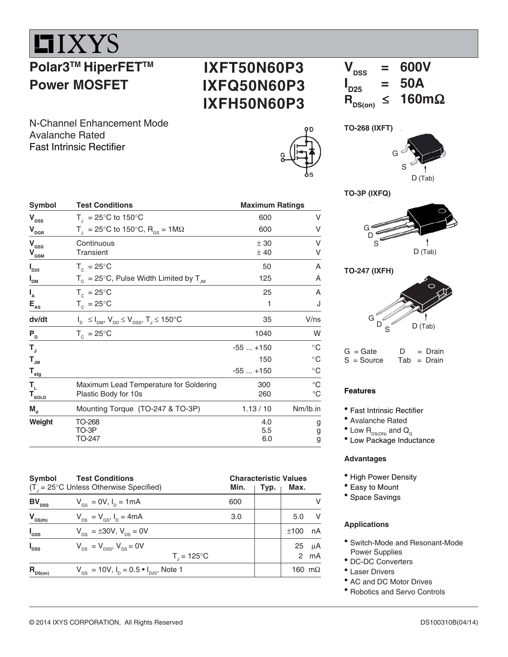

## **Polar3™ HiperFET™ Power MOSFET**

### **IXFT50N60P3 IXFQ50N60P3 IXFH50N60P3**

 $V_{\text{nes}}$  = 600V  $I_{D25}$  $= 50A$ <br> $\leq 160 \text{m}\Omega$  $R_{DS(on)} \leq$ 

N-Channel Enhancement Mode Avalanche Rated Fast Intrinsic Rectifier





**TO-3P (IXFQ)**





 $G = Gate$   $D = Drain$ <br> $S = Source$   $Tab = Drain$  $Tab = Drain$ 

### **Features**

- Fast Intrinsic Rectifier
- Avalanche Rated
- $^{\bullet}$  Low  $\mathsf{R}_{\textnormal{\tiny{DS}(\textnormal{\tiny{ON}})}}$  and  $\mathsf{Q}_{_{\textnormal{\tiny{G}}}}$
- Low Package Inductance

#### **Advantages**

- High Power Density
- Easy to Mount
- <sup>•</sup> Space Savings

### **Applications**

- Switch-Mode and Resonant-Mode Power Supplies
- DC-DC Converters
- Laser Drivers
- AC and DC Motor Drives
- Robotics and Servo Controls

| Symbol                                                          | <b>Test Conditions</b>                                              | <b>Maximum Ratings</b> |                            |  |  |
|-----------------------------------------------------------------|---------------------------------------------------------------------|------------------------|----------------------------|--|--|
| $\mathbf{V}_{\texttt{DSS}}$                                     | $T_{\text{I}}$ = 25°C to 150°C                                      | 600                    | V                          |  |  |
| $\mathbf{V}_{\text{DGR}}$                                       | T <sub>1</sub> = 25°C to 150°C, R <sub>GS</sub> = 1M $\Omega$       | 600                    | ٧                          |  |  |
| $\mathbf{V}_{\rm{GSS}}$<br>$\mathbf{V}_{\underbar{\text{GSM}}}$ | Continuous<br>Transient                                             | ± 30<br>±40            | ٧<br>٧                     |  |  |
| $I_{D25}$                                                       | $T_c = 25^{\circ}$ C                                                | 50                     | A                          |  |  |
| $I_{DM}$                                                        | $T_c = 25^{\circ}$ C, Pulse Width Limited by $T_{JM}$               | 125                    | A                          |  |  |
| $I_{A}$                                                         | $T_c = 25^{\circ}$ C                                                | 25                     | A                          |  |  |
| $\mathsf{E}_{\mathsf{AS}}$                                      | $T_c = 25^{\circ}C$                                                 | 1                      | J                          |  |  |
| dv/dt                                                           | $I_s \leq I_{DM}$ , $V_{DD} \leq V_{DSS}$ , $T_s \leq 150^{\circ}C$ | 35                     | V/ns                       |  |  |
| P <sub>D</sub>                                                  | $T_c = 25^{\circ}C$                                                 | 1040                   | W                          |  |  |
| $\mathsf{T}_{\mathrm{u}}$                                       |                                                                     | $-55+150$              | $^{\circ}$ C               |  |  |
| $T_{\sf JM}$                                                    |                                                                     | 150                    | $^{\circ}$ C               |  |  |
| $\mathbf{T}_{\underline{\mathsf{stg}}}$                         |                                                                     | $-55+150$              | $^{\circ}$ C               |  |  |
| $T_{\rm L}$<br>$T_{\text{sOLD}}$                                | Maximum Lead Temperature for Soldering<br>Plastic Body for 10s      | 300<br>260             | $^{\circ}C$<br>$^{\circ}C$ |  |  |
| $M_{d}$                                                         | Mounting Torque (TO-247 & TO-3P)                                    | 1.13 / 10              | Nm/lb.in                   |  |  |
| Weight                                                          | TO-268<br>TO-3P<br>TO-247                                           | 4.0<br>5.5<br>6.0      | g<br>g<br>g                |  |  |

| Symbol            | <b>Test Conditions</b><br>$(T_{1} = 25^{\circ}C$ Unless Otherwise Specified) |                        | Min. | <b>Characteristic Values</b><br>Typ. | Max. |                           |
|-------------------|------------------------------------------------------------------------------|------------------------|------|--------------------------------------|------|---------------------------|
| $BV_{\text{DSS}}$ | $V_{\text{gs}} = 0V, I_{\text{p}} = 1 \text{mA}$                             |                        | 600  |                                      |      | v                         |
| $V_{GS(th)}$      | $V_{DS} = V_{GS}$ , $I_D = 4mA$                                              |                        | 3.0  |                                      | 5.0  | - V                       |
| $I_{\rm dss}$     | $V_{\rm{gs}} = \pm 30V, V_{\rm{ps}} = 0V$                                    |                        |      |                                      | ±100 | nA                        |
| $I_{\text{DSS}}$  | $V_{\text{ps}} = V_{\text{ps}}$ , $V_{\text{ps}} = 0V$                       | $T_{1} = 125^{\circ}C$ |      |                                      | 25   | $\mu$ A<br>$2 \text{ mA}$ |
| $R_{nS(0n)}$      | $V_{\text{GS}} = 10V$ , $I_{\text{D}} = 0.5 \cdot I_{\text{D25}}$ , Note 1   |                        |      |                                      |      | 160 m $\Omega$            |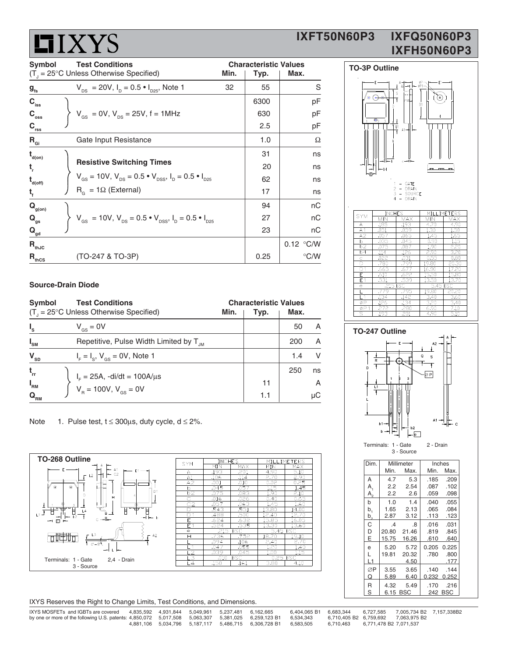# **LIXYS**

### **IXFT50N60P3 IXFQ50N60P3 IXFH50N60P3**

| <b>Symbol</b><br><b>Test Conditions</b> |                                                                                                                           | <b>Characteristic Values</b> |      |               |
|-----------------------------------------|---------------------------------------------------------------------------------------------------------------------------|------------------------------|------|---------------|
|                                         | $(T1 = 25^{\circ}C$ Unless Otherwise Specified)                                                                           | Min.                         | Typ. | Max.          |
| $g_{\rm fs}$                            | $V_{DS}$ = 20V, $I_D$ = 0.5 $\bullet$ $I_{D25}$ , Note 1                                                                  | 32                           | 55   | S             |
| $C_{\text{iss}}$                        |                                                                                                                           |                              | 6300 | рF            |
| $C_{\rm{oss}}$                          | $V_{\text{gs}} = 0V$ , $V_{\text{DS}} = 25V$ , f = 1MHz                                                                   |                              | 630  | pF            |
| $C_{\rm rss}$                           |                                                                                                                           |                              | 2.5  | рF            |
| $R_{\text{Gi}}$                         | Gate Input Resistance                                                                                                     |                              | 1.0  | Ω             |
| $t_{\text{\tiny d(0n)}}$                |                                                                                                                           |                              | 31   | ns            |
| t,                                      | <b>Resistive Switching Times</b>                                                                                          |                              | 20   | ns            |
| $t_{\text{\tiny d(off)}}$               | $V_{\text{gs}} = 10V$ , $V_{\text{ps}} = 0.5 \cdot V_{\text{pss}}$ , $I_{\text{p}} = 0.5 \cdot I_{\text{pss}}$            |                              | 62   | ns            |
| $t_{f}$                                 | $R_{\alpha} = 1\Omega$ (External)                                                                                         |                              | 17   | ns            |
| $\mathbf{Q}_{\text{g(on)}}$             |                                                                                                                           |                              | 94   | пC            |
| $Q_{qs}$                                | $V_{\text{gs}}$ = 10V, $V_{\text{ps}}$ = 0.5 $\bullet$ $V_{\text{pss}}$ , $I_{\text{p}}$ = 0.5 $\bullet$ $I_{\text{pzs}}$ |                              | 27   | nC            |
| $\mathbf{Q}_{\mathsf{gd}}$              |                                                                                                                           |                              | 23   | nС            |
| $R_{thJC}$                              |                                                                                                                           |                              |      | 0.12 °C/W     |
| $R_{\text{thcs}}$                       | (TO-247 & TO-3P)                                                                                                          |                              | 0.25 | $\degree$ C/W |

### **Source-Drain Diode**

| Symbol<br><b>Test Conditions</b><br>$(T_{1} = 25^{\circ}C$ Unless Otherwise Specified) | <b>Characteristic Values</b><br>Min.<br>Max.<br>Typ. |
|----------------------------------------------------------------------------------------|------------------------------------------------------|
| $I_{\rm s}$                                                                            | A                                                    |
| $V_{\text{gs}} = 0V$                                                                   | 50                                                   |
| $I_{\rm SM}$                                                                           | A                                                    |
| Repetitive, Pulse Width Limited by T <sub>IM</sub>                                     | 200                                                  |
| $\mathbf{V}_{\text{SD}}$                                                               | V                                                    |
| $I_{F} = I_{S}$ , $V_{GS} = 0V$ , Note 1                                               | 1.4                                                  |
| $t_{rr}$                                                                               | 250<br>ns                                            |
| $I_F = 25A$ , -di/dt = 100A/ $\mu$ s<br>V <sub>R</sub> = 100V, V <sub>GS</sub> = 0V    | A                                                    |
| $I_{\rm RM}$                                                                           | 11                                                   |
| $\mathbf{Q}_{_{\mathbf{R}\mathbf{M}}}$                                                 | μC<br>1.1                                            |

Note 1. Pulse test,  $t \le 300 \mu s$ , duty cycle,  $d \le 2\%$ .



| SYM             | INCHES |            | MILLIMETERS |            |  |
|-----------------|--------|------------|-------------|------------|--|
|                 | MIN    | MAX        | MIN         | <b>MAX</b> |  |
| А               | .193   | .201       | 4.90        | 5.10       |  |
| A1              | .106   | .114       | 2.70        | 2.90       |  |
| A2              | .001   | .010       | 0.02        | 0.25       |  |
| b.              | .045   | .057       | 1.15        | 1.45       |  |
| b2              | .075   | .083       | 1.90        | 2.10       |  |
| С               | .016   | .026       | 0.40        | 0.65       |  |
| C <sub>2</sub>  | .057   | .063       | 1.45        | 1.60       |  |
| D               | .543   | .551       | 13.80       | 14.00      |  |
| $\overline{D}1$ | .488   | .500       | 12.40       | 12.70      |  |
| F               | .624   | .632       | 15.85       | 16.05      |  |
| E <sub>1</sub>  | .524   | .535       | 13.30       | 13.60      |  |
| $\epsilon$      | .215   | <b>BSC</b> | 5.45 BSC    |            |  |
| н               | .736   | .752       | 18.70       | 19.10      |  |
|                 | .094   | .106       | 2.40        | 2.70       |  |
| L1              | .047   | .055       | 1.20        | 1.40       |  |
| L2              | .039   | .045       | 1.00        | 1.15       |  |
| L3              | .010   | <b>BSC</b> | 0.25 BSC    |            |  |
| $\overline{4}$  | .150   | .161       | 3.80        | 4.10       |  |
|                 |        |            |             |            |  |

| IXYS Reserves the Right to Change Limits, Test Conditions, and Dimensions. |  |  |
|----------------------------------------------------------------------------|--|--|
|                                                                            |  |  |

| IXYS MOSFETs and IGBTs are covered<br>by one or more of the following U.S. patents: 4,850,072 5,017,508 5,063,307 5,381,025 6,259,123 B1 |  | 4.835.592  4.931.844  5.049.961  5.237.481  6.162.665 |                                                                      | 6.404.065 B1 6.683.344<br>6.534.343 |           |                        | 6.727.585 7.005.734 B2 7.157.338B2<br>6.710.405 B2 6.759.692 7.063.975 B2 |  |
|------------------------------------------------------------------------------------------------------------------------------------------|--|-------------------------------------------------------|----------------------------------------------------------------------|-------------------------------------|-----------|------------------------|---------------------------------------------------------------------------|--|
|                                                                                                                                          |  |                                                       | 4.881.106  5.034.796  5.187.117  5.486.715  6.306.728  B1  6.583.505 |                                     | 6.710.463 | 6.771.478 B2 7.071.537 |                                                                           |  |



| Α                       | -185     | 59. . | 4./U     | 4.YU  |
|-------------------------|----------|-------|----------|-------|
| A1                      | .051     | .059  | 1.30     | 1.50  |
| A2                      | .057     | .065  | 1.45     | 1.65  |
| b                       | .035     | .045  | 0.90     | 1.15  |
| b2                      | .075     | .087  | 1.90     | 2.20  |
| b4                      | .114     | .126  | 2.90     | 3.20  |
| Ċ                       | .022     | .031  | 0.55     | 0.80  |
| $\overline{\mathsf{D}}$ | .780     | .799  | 19.80    | 20.30 |
| D <sub>1</sub>          | .665     | .677  | 16.90    | 17.20 |
| E                       | .610     | .622  | 15.50    | 15.80 |
| E1                      | .531     | .539  | 13.50    | 13.70 |
| e                       | .215 BSC |       | 5.45 BSC |       |
|                         | .779     | .795  | 19.80    | 20.20 |
|                         | .134     | .142  | 3.40     | 3.60  |
| øΡ                      | .126     | .134  | 3.20     | 3.40  |
| ØP1                     | .272     | .280  | 6.90     | 7.10  |
| s                       | .193     | .201  | 4.90     | 5.10  |

 **TO-247 Outline**



| Dim.         |               | Millimeter |       | Inches     |
|--------------|---------------|------------|-------|------------|
|              | Min.          | Max.       | Min.  | Max.       |
| A            | 4.7           | 5.3        | .185  | .209       |
| $A_{1}$      | 2.2           | 2.54       | .087  | .102       |
| $A_{\circ}$  | 2.2           | 2.6        | .059  | .098       |
| b            | 1.0           | 1.4        | .040  | .055       |
| b,           | 1.65          | 2.13       | .065  | .084       |
| $b^{\,}_{2}$ | 2.87          | 3.12       | .113  | .123       |
| C            | $\mathcal{A}$ | .8         | .016  | .031       |
| D            | 20.80         | 21.46      | .819  | .845       |
| E            | 15.75         | 16.26      | .610  | .640       |
| e            | 5.20          | 5.72       | 0.205 | 0.225      |
|              | 19.81         | 20.32      | .780  | .800       |
| L1           |               | 4.50       |       | .177       |
| ØP           | 3.55          | 3.65       | .140  | .144       |
| Q            | 5.89          | 6.40       | 0.232 | 0.252      |
| R            | 4.32          | 5.49       | .170  | .216       |
| S            |               | 6.15 BSC   | 242   | <b>BSC</b> |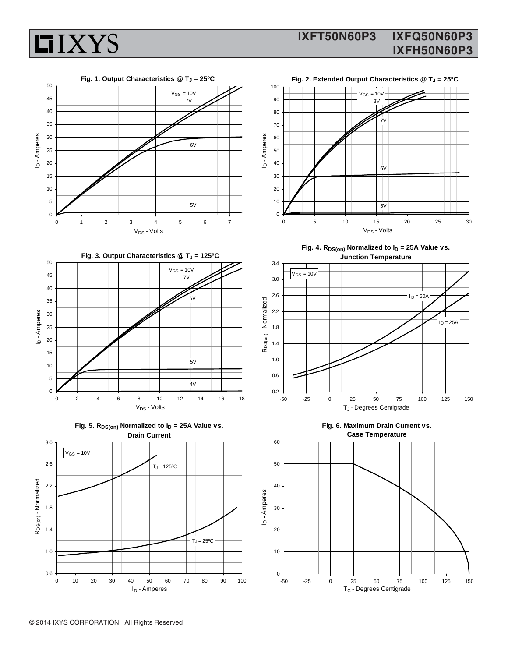



**LIXYS**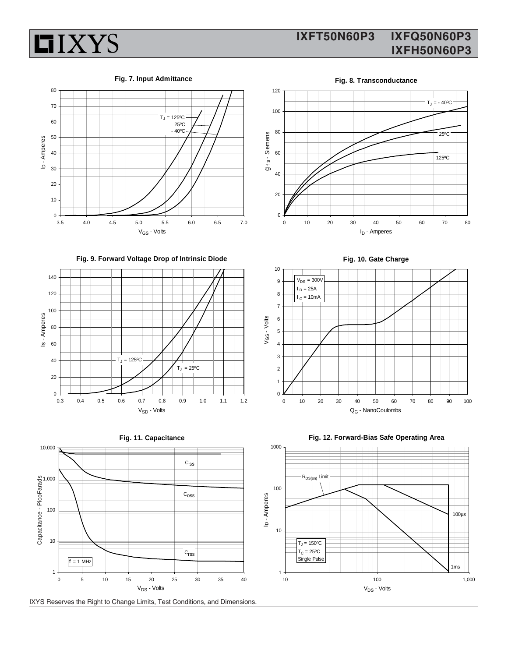

### **IXFT50N60P3 IXFQ50N60P3 IXFH50N60P3**

#### **Fig. 7. Input Admittance**



**Fig. 9. Forward Voltage Drop of Intrinsic Diode**







IXYS Reserves the Right to Change Limits, Test Conditions, and Dimensions.

**Fig. 8. Transconductance** 120 I  $T_J = -40$ <sup>o</sup>C 100 80 25ºC g<sub>ts</sub>-Siemens f s - Siemens 60 125ºC 40 20 0 0 10 20 30 40 50 60 70 80 I<sub>D</sub> - Amperes

**Fig. 10. Gate Charge**





**Fig. 12. Forward-Bias Safe Operating Area**